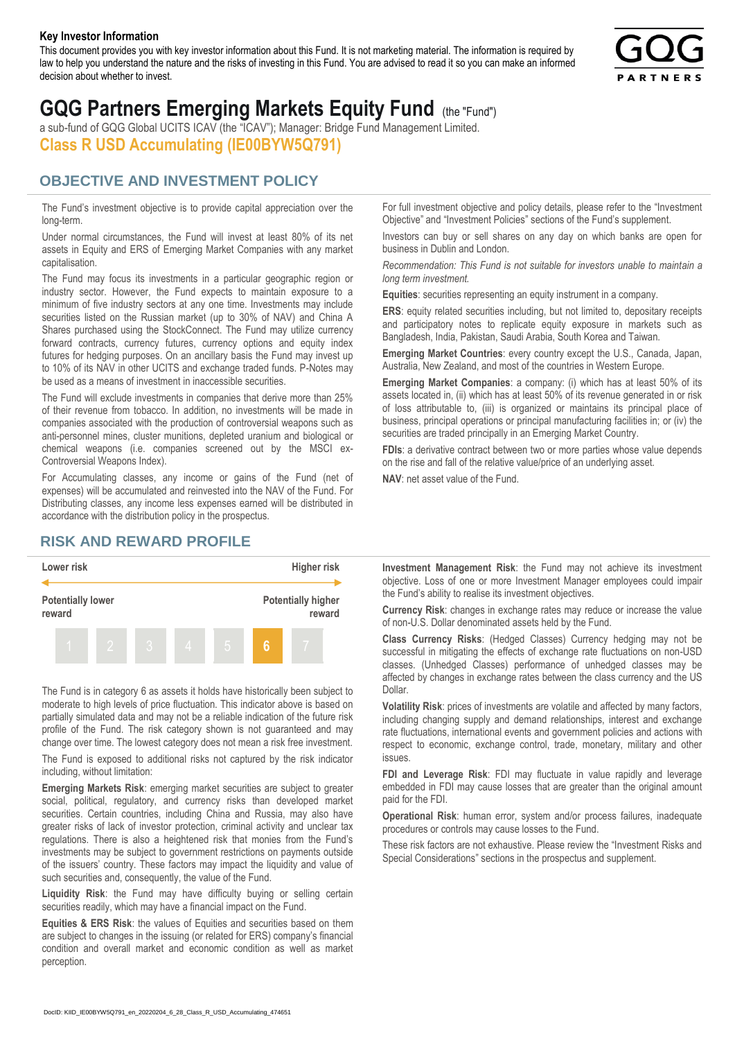#### **Key Investor Information**

This document provides you with key investor information about this Fund. It is not marketing material. The information is required by law to help you understand the nature and the risks of investing in this Fund. You are advised to read it so you can make an informed decision about whether to invest.



# **GQG Partners Emerging Markets Equity Fund** (the "Fund")

a sub-fund of GQG Global UCITS ICAV (the "ICAV"); Manager: Bridge Fund Management Limited. **Class R USD Accumulating (IE00BYW5Q791)**

#### **OBJECTIVE AND INVESTMENT POLICY**

The Fund's investment objective is to provide capital appreciation over the long-term.

Under normal circumstances, the Fund will invest at least 80% of its net assets in Equity and ERS of Emerging Market Companies with any market capitalisation.

The Fund may focus its investments in a particular geographic region or industry sector. However, the Fund expects to maintain exposure to a minimum of five industry sectors at any one time. Investments may include securities listed on the Russian market (up to 30% of NAV) and China A Shares purchased using the StockConnect. The Fund may utilize currency forward contracts, currency futures, currency options and equity index futures for hedging purposes. On an ancillary basis the Fund may invest up to 10% of its NAV in other UCITS and exchange traded funds. P-Notes may be used as a means of investment in inaccessible securities.

The Fund will exclude investments in companies that derive more than 25% of their revenue from tobacco. In addition, no investments will be made in companies associated with the production of controversial weapons such as anti-personnel mines, cluster munitions, depleted uranium and biological or chemical weapons (i.e. companies screened out by the MSCI ex-Controversial Weapons Index).

For Accumulating classes, any income or gains of the Fund (net of expenses) will be accumulated and reinvested into the NAV of the Fund. For Distributing classes, any income less expenses earned will be distributed in accordance with the distribution policy in the prospectus.

### **RISK AND REWARD PROFILE**



The Fund is in category 6 as assets it holds have historically been subject to moderate to high levels of price fluctuation. This indicator above is based on partially simulated data and may not be a reliable indication of the future risk profile of the Fund. The risk category shown is not guaranteed and may change over time. The lowest category does not mean a risk free investment.

The Fund is exposed to additional risks not captured by the risk indicator including, without limitation:

**Emerging Markets Risk**: emerging market securities are subject to greater social, political, regulatory, and currency risks than developed market securities. Certain countries, including China and Russia, may also have greater risks of lack of investor protection, criminal activity and unclear tax regulations. There is also a heightened risk that monies from the Fund's investments may be subject to government restrictions on payments outside of the issuers' country. These factors may impact the liquidity and value of such securities and, consequently, the value of the Fund.

**Liquidity Risk**: the Fund may have difficulty buying or selling certain securities readily, which may have a financial impact on the Fund.

**Equities & ERS Risk**: the values of Equities and securities based on them are subject to changes in the issuing (or related for ERS) company's financial condition and overall market and economic condition as well as market perception.

For full investment objective and policy details, please refer to the "Investment Objective" and "Investment Policies" sections of the Fund's supplement.

Investors can buy or sell shares on any day on which banks are open for business in Dublin and London.

*Recommendation: This Fund is not suitable for investors unable to maintain a long term investment.*

**Equities**: securities representing an equity instrument in a company.

**ERS:** equity related securities including, but not limited to, depositary receipts and participatory notes to replicate equity exposure in markets such as Bangladesh, India, Pakistan, Saudi Arabia, South Korea and Taiwan.

**Emerging Market Countries**: every country except the U.S., Canada, Japan, Australia, New Zealand, and most of the countries in Western Europe.

**Emerging Market Companies**: a company: (i) which has at least 50% of its assets located in, (ii) which has at least 50% of its revenue generated in or risk of loss attributable to, (iii) is organized or maintains its principal place of business, principal operations or principal manufacturing facilities in; or (iv) the securities are traded principally in an Emerging Market Country.

**FDIs**: a derivative contract between two or more parties whose value depends on the rise and fall of the relative value/price of an underlying asset.

**NAV**: net asset value of the Fund.

**Investment Management Risk**: the Fund may not achieve its investment objective. Loss of one or more Investment Manager employees could impair the Fund's ability to realise its investment objectives.

**Currency Risk**: changes in exchange rates may reduce or increase the value of non-U.S. Dollar denominated assets held by the Fund.

**Class Currency Risks**: (Hedged Classes) Currency hedging may not be successful in mitigating the effects of exchange rate fluctuations on non-USD classes. (Unhedged Classes) performance of unhedged classes may be affected by changes in exchange rates between the class currency and the US Dollar.

**Volatility Risk**: prices of investments are volatile and affected by many factors, including changing supply and demand relationships, interest and exchange rate fluctuations, international events and government policies and actions with respect to economic, exchange control, trade, monetary, military and other issues.

**FDI and Leverage Risk**: FDI may fluctuate in value rapidly and leverage embedded in FDI may cause losses that are greater than the original amount paid for the FDI.

**Operational Risk**: human error, system and/or process failures, inadequate procedures or controls may cause losses to the Fund.

These risk factors are not exhaustive. Please review the "Investment Risks and Special Considerations" sections in the prospectus and supplement.